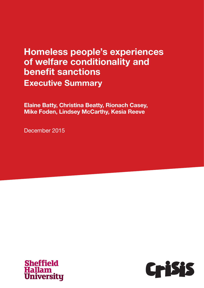# Homeless people's experiences of welfare conditionality and benefit sanctions Executive Summary

Elaine Batty, Christina Beatty, Rionach Casey, Mike Foden, Lindsey McCarthy, Kesia Reeve

December 2015



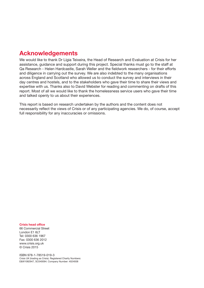# Acknowledgements

We would like to thank Dr Lígia Teixeira, the Head of Research and Evaluation at Crisis for her assistance, guidance and support during this project. Special thanks must go to the staff at Qa Research - Helen Hardcastle, Sarah Weller and the fieldwork researchers - for their efforts and diligence in carrying out the survey. We are also indebted to the many organisations across England and Scotland who allowed us to conduct the survey and interviews in their day centres and hostels, and to the stakeholders who gave their time to share their views and expertise with us. Thanks also to David Webster for reading and commenting on drafts of this report. Most of all we would like to thank the homelessness service users who gave their time and talked openly to us about their experiences.

This report is based on research undertaken by the authors and the content does not necessarily reflect the views of Crisis or of any participating agencies. We do, of course, accept full responsibility for any inaccuracies or omissions.

#### Crisis head office

66 Commercial Street London E1 6LT Tel: 0300 636 1967 Fax: 0300 636 2012 www.crisis.org.uk © Crisis 2015

ISBN 978-1-78519-019-3 Crisis UK (trading as Crisis). Registered Charity Numbers: E&W1082947, SC040094. Company Number: 4024938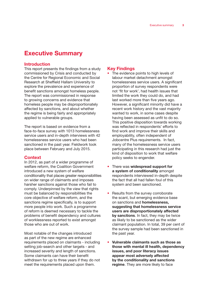## Executive Summary

#### Introduction

This report presents the findings from a study commissioned by Crisis and conducted by the Centre for Regional Economic and Social Research at Sheffield Hallam University to explore the prevalence and experience of benefit sanctions amongst homeless people. The report was commissioned in response to growing concerns and evidence that homeless people may be disproportionately affected by sanctions, and about whether the regime is being fairly and appropriately applied to vulnerable groups.

The report is based on evidence from a face-to-face survey with 1013 homelessness service users and in-depth interviews with 42 homelessness service users who had been sanctioned in the past year. Fieldwork took place between February and July 2015.

#### **Context**

In 2012, as part of a wider programme of welfare reform, the Coalition Government introduced a new system of welfare conditionality that places greater responsibilities on wider range of claimants and imposes harsher sanctions against those who fail to comply. Underpinned by the view that rights must be balanced by responsibilities the core objective of welfare reform, and the sanctions regime specifically, is to support more people into work. Such a programme of reform is deemed necessary to tackle the problems of benefit dependency and cultures of worklessness reported to exist amongst those who are out of work.

Most notable of the changes introduced as part of the new regime are enhanced requirements placed on claimants - including setting job-search and other targets - and increased severity and length of sanctions. Some claimants can have their benefit withdrawn for up to three years if they do not meet the requirements placed upon them.

#### Key Findings

- The evidence points to high levels of labour market detachment amongst homelessness service users. A significant proportion of survey respondents were not 'fit for work', had health issues that limited the work they could do, and had last worked more than five years ago. However, a significant minority did have a recent work history and the vast majority wanted to work, in some cases despite having been assessed as unfit to do so. This positive disposition towards working was reflected in respondents' efforts to find work and improve their skills and employability, often independent of Jobcentre Plus requirements. In fact, many of the homelessness service users participating in this research had just the kind of disposition to work that welfare policy seeks to engender.
- There was widespread support for a system of conditionality amongst respondents interviewed in-depth despite the fact that all had fallen foul of this system and been sanctioned.
- Results from the survey corroborate the scant, but emerging evidence base on sanctions and homelessness, suggesting that homelessness service users are disproportionately affected by sanctions. In fact, they may be twice as likely to be sanctioned as the wider claimant population. In total, 39 per cent of the survey sample had been sanctioned in the past year.
- Vulnerable claimants such as those as those with mental ill health, dependency issues, and poor literacy issues appear most adversely affected by the conditionality and sanctions regime. They are more likely to face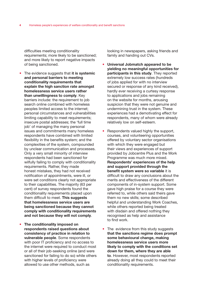difficulties meeting conditionality requirements; more likely to be sanctioned; and more likely to report negative impacts of being sanctioned.

- The evidence suggests that it is systemic and personal barriers to meeting conditionality requirements that explain the high sanction rate amongst homelessness service users rather than unwillingness to comply. Key barriers include: the requirement to job search online combined with homeless peoples limited access to the internet; personal circumstances and vulnerabilities limiting capability to meet requirements; insecure postal addresses; the 'full time job' of managing the many personal issues and commitments many homeless respondents have combined with limited flexibility in the benefits system; and the complexities of the system, compounded by unclear communication and processes. Only a very small minority of interview respondents had been sanctioned for wilfully failing to comply with conditionality requirements. Rather, they made honest mistakes, they had not received notification of appointments, were ill, or were set conditions clearly not appropriate to their capabilities. The majority (63 per cent) of survey respondents found the conditionality requirements placed upon them difficult to meet. This suggests that homelessness service users are being sanctioned because they cannot comply with conditionality requirements and not because they will not comply.
- The conditionality imposed on respondents raised questions about consistency of practice in relation to vulnerable people. Some respondents with poor IT proficiency and no access to the internet were required to conduct most or all of their job-seeking online (and were sanctioned for failing to do so) while others with higher levels of proficiency were allowed to use other methods, such as

looking in newspapers, asking friends and family and handing out CVs.

- Universal Jobmatch appeared to be yielding no meaningful opportunities for participants in this study. They reported extremely low success rates (hundreds of jobs applied for with no interview secured or response of any kind received), hardly ever receiving a curtesy response to applications and jobs remaining on the website for months, arousing suspicion that they were not genuine and undermining trust in the system. These experiences had a demotivating effect for respondents, many of whom were already relatively low on self-esteem.
- Respondents valued highly the support, courses, and volunteering opportunities offered by voluntary sector organisations with which they were engaged but their views and experiences of support provided by Jobcentre Plus and the Work Programme was much more mixed. Respondents' experiences of the help and support provided through the benefit system were so variable it is difficult to draw any conclusions about the merits and effectiveness of the different components of in-system support. Some gave high praise for a course they were referred to, while others said theirs gave them no new skills; some described helpful and understanding Work Coaches, while others reported being treated with disdain and offered nothing they recognised as help and assistance to find work.
- The evidence from this study suggests that the sanctions regime does prompt some behavioural change, making homelessness service users more likely to comply with the conditions set down for them, where they are able to. However, most respondents reported already doing all they could to meet their conditionality requirements.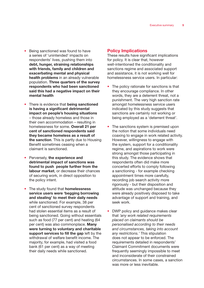- Being sanctioned was found to have a series of 'unintended' impacts on respondents' lives, pushing them into debt, hunger, straining relationships with friends, family and children and exacerbating mental and physical health problems in an already vulnerable population. Three quarters of the survey respondents who had been sanctioned said this had a negative impact on their mental health
- There is evidence that being sanctioned is having a significant detrimental impact on people's housing situations – those already homeless and those in their own accommodation – resulting in homelessness for some. Overall 21 per cent of sanctioned respondents said they became homeless as a result of the sanction. This is partly due to Housing Benefit sometimes ceasing when a claimant is sanctioned.
- Perversely, the experience and detrimental impact of sanctions was found to push people further from the labour market, or decrease their chances of securing work, in direct opposition to the policy intent.
- The study found that **homelessness** service users were 'begging borrowing and stealing' to meet their daily needs while sanctioned. For example, 38 per cent of sanctioned survey respondents had stolen essential items as a result of being sanctioned. Going without essentials such as food (77 per cent) and heating (64 per cent) was also commonplace. Many were turning to voluntary and charitable support services to fill the gap left by the withdrawal of welfare benefit income. The majority, for example, had visited a food bank (61 per cent) as a way of meeting their daily needs while sanctioned.

#### Policy Implications

These results have significant implications for policy. It is clear that, however well-intentioned the conditionality and sanctions regime and associated support and assistance, it is not working well for homelessness service users. In particular:

- The policy rationale for sanctions is that they encourage compliance. In other words, they are a deterrent threat, not a punishment. The very high sanction rate amongst homelessness service users indicated by this study suggests that sanctions are certainly not working or being employed as a 'deterrent threat'.
- The sanctions system is premised upon the notion that some individuals need coaxing to engage in work related activity. However, willingness to engage with the system, support for a conditionality regime, and aspirations to work were strong amongst those participating in this study. The evidence shows that respondents often did make more concerted efforts to comply following a sanctioning - for example checking appointment times more carefully, recording job search activity more rigorously - but their disposition and attitude was unchanged because they were already positively disposed to take advantage of support and training, and seek work.
- DWP policy and guidance makes clear that *'any work related requirements placed on claimants should be personalised according to their needs and circumstances, taking into account any restrictions.'* This stipulation does not appear to be enforced. The requirements detailed in respondents' Claimant Commitment documents were frequently seemingly impossible to meet and inconsiderate of their constrained circumstances. In some cases, a sanction was more or less inevitable.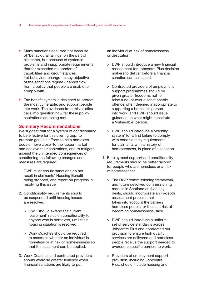- Many sanctions occurred not because of 'behavioural failings' on the part of claimants, but because of systemic problems and inappropriate requirements that far exceeded respondents'' capabilities and circumstances. Yet behaviour change - a key objective of the sanctions regime - cannot flow from a policy that people are unable to comply with.
- The benefit system is designed to protect the most vulnerable, and support people into work. The evidence from this studies calls into question how far these policy aspirations are being met

#### Summary Recommendations

We suggest that for a system of conditionality to be effective for this client group, to promote genuine efforts to help homeless people move closer to the labour market and achieve their aspirations, and to mitigate against the unintended consequences of sanctioning the following changes and measures are required.

- 1. DWP must ensure sanctions do not result in claimants' Housing Benefit being stopped, and report on progress in resolving this issue
- 2. Conditionality requirements should be suspended until housing issues are resolved:
	- > DWP should extend the current 'easement' rules on conditionality to anyone who is homeless, until their housing situation is resolved.
	- > Work Coaches should be required to ascertain whether an individual is homeless or at risk of homelessness so that the easement can be applied.
- 3. Work Coaches and contracted providers should exercise greater leniency when financial sanctions are likely to put

an individual at risk of homelessness or destitution

- > DWP should introduce a new financial assessment for Jobcentre Plus decision makers to deliver before a financial sanction can be issued.
- > Contracted providers of employment support programmes should be given greater freedoms not to raise a doubt over a sanctionable offence when deemed inappropriate to supporting a homeless person into work; and DWP should issue guidance on what might constitute a 'vulnerable' person.
- > DWP should introduce a 'warning system' for a first failure to comply with conditionality requirements for claimants with a history of homelessness, in place of a sanction.
- 4. Employment support and conditionality requirements should be better tailored for people who are homeless or at risk of homelessness
	- > The DWP commissioning framework, and future devolved commissioning models in Scotland and via city deals, should incorporate an in-depth assessment process that takes into account the barriers homeless people, or those at risk of becoming homelessness, face.
	- > DWP should introduce a uniform set of service standards across Jobcentre Plus and contracted out provision to ensure high quality services are delivered and homeless people receive the support needed to overcome specific barriers to work.
	- > Providers of employment support provision, including Jobcentre Plus, should include housing and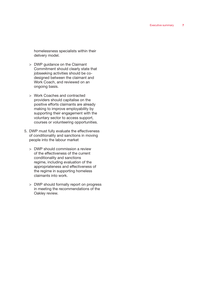homelessness specialists within their delivery model.

- > DWP guidance on the Claimant Commitment should clearly state that jobseeking activities should be codesigned between the claimant and Work Coach, and reviewed on an ongoing basis.
- > Work Coaches and contracted providers should capitalise on the positive efforts claimants are already making to improve employability by supporting their engagement with the voluntary sector to access support, courses or volunteering opportunities.
- 5. DWP must fully evaluate the effectiveness of conditionality and sanctions in moving people into the labour market
	- > DWP should commission a review of the effectiveness of the current conditionality and sanctions regime, including evaluation of the appropriateness and effectiveness of the regime in supporting homeless claimants into work.
	- > DWP should formally report on progress in meeting the recommendations of the Oakley review.